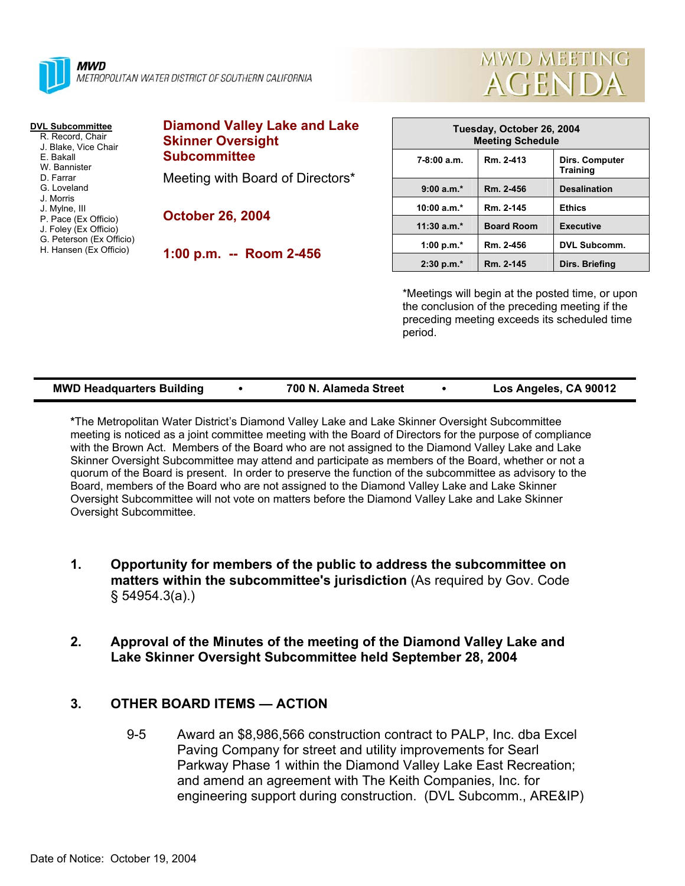

#### **DVL Subcommittee**

- R. Record, Chair J. Blake, Vice Chair
- E. Bakall
- W. Bannister
- D. Farrar G. Loveland
- J. Morris
- J. Mylne, III
- P. Pace (Ex Officio)
- J. Foley (Ex Officio)
- G. Peterson (Ex Officio)
- H. Hansen (Ex Officio)

# **Diamond Valley Lake and Lake Skinner Oversight Subcommittee**

Meeting with Board of Directors\*

**October 26, 2004** 

**1:00 p.m. -- Room 2-456** 

| Tuesday, October 26, 2004<br><b>Meeting Schedule</b> |                   |                                   |  |  |  |
|------------------------------------------------------|-------------------|-----------------------------------|--|--|--|
| $7-8:00a.m.$                                         | Rm. 2-413         | Dirs. Computer<br><b>Training</b> |  |  |  |
| $9:00 a.m.*$                                         | Rm. 2-456         | <b>Desalination</b>               |  |  |  |
| $10:00 a.m.*$                                        | Rm. 2-145         | <b>Ethics</b>                     |  |  |  |
| $11:30$ a.m.*                                        | <b>Board Room</b> | <b>Executive</b>                  |  |  |  |
| 1:00 p.m. $*$                                        | Rm. 2-456         | <b>DVL Subcomm.</b>               |  |  |  |
| $2:30 p.m.*$                                         | Rm. 2-145         | Dirs. Briefing                    |  |  |  |

**MWD MEETING** 

**AGENDA** 

\*Meetings will begin at the posted time, or upon the conclusion of the preceding meeting if the preceding meeting exceeds its scheduled time period.

| <b>MWD Headquarters Building</b> |  | 700 N. Alameda Street |  | Los Angeles, CA 90012 |
|----------------------------------|--|-----------------------|--|-----------------------|
|----------------------------------|--|-----------------------|--|-----------------------|

**\***The Metropolitan Water District's Diamond Valley Lake and Lake Skinner Oversight Subcommittee meeting is noticed as a joint committee meeting with the Board of Directors for the purpose of compliance with the Brown Act. Members of the Board who are not assigned to the Diamond Valley Lake and Lake Skinner Oversight Subcommittee may attend and participate as members of the Board, whether or not a quorum of the Board is present. In order to preserve the function of the subcommittee as advisory to the Board, members of the Board who are not assigned to the Diamond Valley Lake and Lake Skinner Oversight Subcommittee will not vote on matters before the Diamond Valley Lake and Lake Skinner Oversight Subcommittee.

- **1. Opportunity for members of the public to address the subcommittee on matters within the subcommittee's jurisdiction** (As required by Gov. Code § 54954.3(a).)
- **2. Approval of the Minutes of the meeting of the Diamond Valley Lake and Lake Skinner Oversight Subcommittee held September 28, 2004**

## **3. OTHER BOARD ITEMS — ACTION**

9-5 Award an \$8,986,566 construction contract to PALP, Inc. dba Excel Paving Company for street and utility improvements for Searl Parkway Phase 1 within the Diamond Valley Lake East Recreation; and amend an agreement with The Keith Companies, Inc. for engineering support during construction. (DVL Subcomm., ARE&IP)